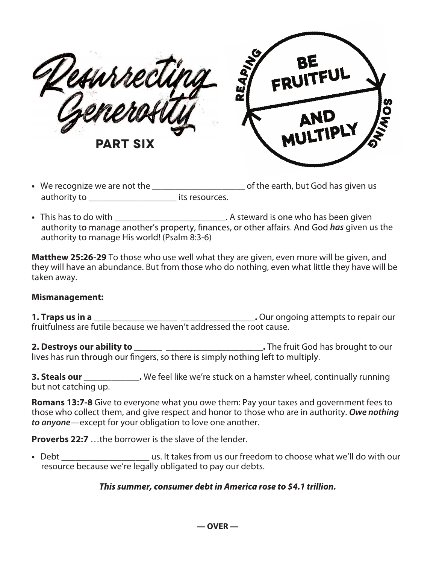surrea **part six**



- We recognize we are not the \_\_\_\_\_\_\_\_\_\_\_\_\_\_\_\_\_\_\_\_\_\_\_\_\_\_\_\_of the earth, but God has given us authority to \_\_\_\_\_\_\_\_\_\_\_\_\_\_\_\_\_\_\_ its resources.
- This has to do with \_\_\_\_\_\_\_\_\_\_\_\_\_\_\_\_\_\_\_\_\_\_\_\_\_\_\_\_\_\_\_. A steward is one who has been given authority to manage another's property, finances, or other affairs. And God *has* given us the authority to manage His world! (Psalm 8:3-6)

**Matthew 25:26-29** To those who use well what they are given, even more will be given, and they will have an abundance. But from those who do nothing, even what little they have will be taken away.

## **Mismanagement:**

**1. Traps us in a \_\_\_\_\_\_\_\_\_\_\_\_\_\_\_\_\_\_ \_\_\_\_\_\_\_\_\_\_\_\_\_\_\_\_.** Our ongoing attempts to repair our fruitfulness are futile because we haven't addressed the root cause.

**2. Destroys our ability to \_\_\_\_\_\_ \_\_\_\_\_\_\_\_\_\_\_\_\_\_\_\_\_\_\_\_\_.** The fruit God has brought to our

**3. Steals our \_\_\_\_\_\_\_\_\_\_\_\_.** We feel like we're stuck on a hamster wheel, continually running but not catching up.

**Romans 13:7-8** Give to everyone what you owe them: Pay your taxes and government fees to those who collect them, and give respect and honor to those who are in authority. **Owe nothing to anyone**—except for your obligation to love one another.

**Proverbs 22:7** …the borrower is the slave of the lender.

**•** Debt \_\_\_\_\_\_\_\_\_\_\_\_\_\_\_\_\_\_\_ us. It takes from us our freedom to choose what we'll do with our resource because we're legally obligated to pay our debts.

## This summer, consumer debt in America rose to \$4.1 trillion.